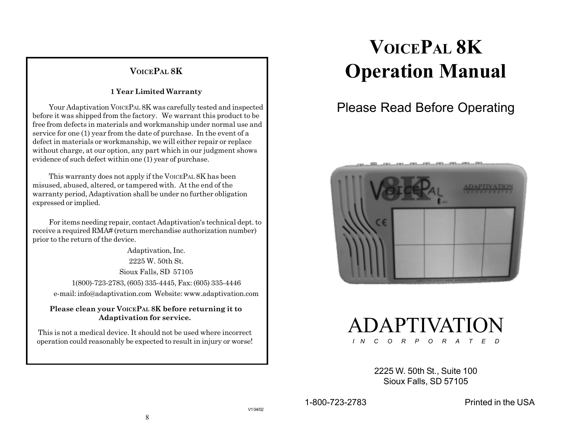### **VOICEPAL 8K**

#### **1 Year Limited Warranty**

Your Adaptivation VOICEPAL 8K was carefully tested and inspected before it was shipped from the factory.We warrant this product to be free from defects in materials and workmanship under normal use and service for one (1) year from the date of purchase. In the event of a defect in materials or workmanship, we will either repair or replace without charge, at our option, any part which in our judgment shows evidence of such defect within one (1) year of purchase.

This warranty does not apply if the VOICEPAL 8K has been misused, abused, altered, or tampered with. At the end of the warranty period, Adaptivation shall be under no further obligation expressed or implied.

For items needing repair, contact Adaptivation's technical dept. to receive a required RMA# (return merchandise authorization number) prior to the return of the device.

Adaptivation, Inc. 2225 W. 50th St. Sioux Falls, SD 57105 1(800)-723-2783, (605) 335-4445, Fax: (605) 335-4446 e-mail: info@adaptivation.com Website: www.adaptivation.com

 **Please clean your VOICEPAL 8K before returning it to Adaptivation for service.**

This is not a medical device. It should not be used where incorrect operation could reasonably be expected to result in injury or worse!

# **VOICEPAL 8K Operation Manual**

## Please Read Before Operating





2225 W. 50th St., Suite 100 Sioux Falls, SD 57105

1-800-723-2783 Printed in the USA

8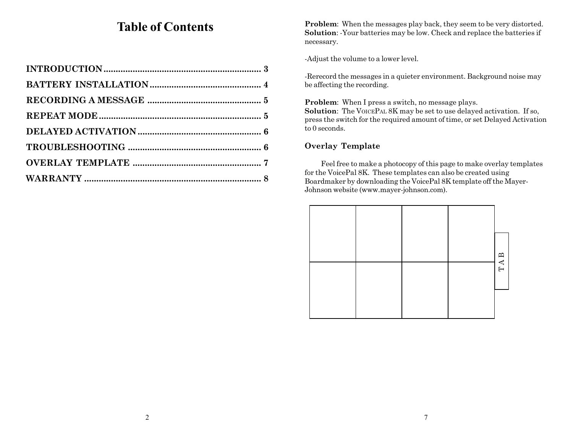## **Table of Contents**

**Problem**: When the messages play back, they seem to be very distorted. **Solution**: -Your batteries may be low. Check and replace the batteries if necessary.

-Adjust the volume to a lower level.

-Rerecord the messages in a quieter environment. Background noise may be affecting the recording.

**Problem**: When I press a switch, no message plays. **Solution**: The VOICEPAL 8K may be set to use delayed activation. If so, press the switch for the required amount of time, or set Delayed Activation to 0 seconds.

#### **Overlay Template**

Feel free to make a photocopy of this page to make overlay templates for the VoicePal 8K. These templates can also be created using Boardmaker by downloading the VoicePal 8K template off the Mayer-Johnson website (www.mayer-johnson.com).

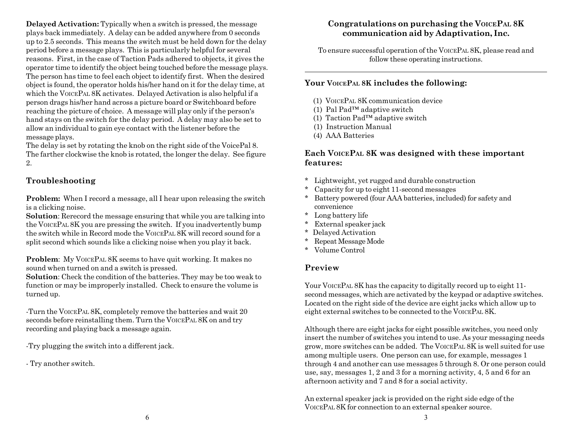<span id="page-2-0"></span>**Delayed Activation:** Typically when a switch is pressed, the message plays back immediately. A delay can be added anywhere from 0 seconds up to 2.5 seconds. This means the switch must be held down for the delay period before a message plays. This is particularly helpful for several reasons. First, in the case of Taction Pads adhered to objects, it gives the operator time to identify the object being touched before the message plays. The person has time to feel each object to identify first. When the desired object is found, the operator holds his/her hand on it for the delay time, at which the VOICEPAL 8K activates. Delayed Activation is also helpful if a person drags his/her hand across a picture board or Switchboard before reaching the picture of choice. A message will play only if the person's hand stays on the switch for the delay period. A delay may also be set to allow an individual to gain eye contact with the listener before the message plays.

The delay is set by rotating the knob on the right side of the VoicePal 8. The farther clockwise the knob is rotated, the longer the delay. See figure 2.

#### **Troubleshooting**

**Problem:** When I record a message, all I hear upon releasing the switch is a clicking noise.

**Solution**: Rerecord the message ensuring that while you are talking into the VOICEPAL 8K you are pressing the switch. If you inadvertently bump the switch while in Record mode the VOICEPAL 8K will record sound for a split second which sounds like a clicking noise when you play it back.

**Problem:** My VOICEPAL 8K seems to have quit working. It makes no sound when turned on and a switch is pressed.

**Solution**: Check the condition of the batteries. They may be too weak to function or may be improperly installed. Check to ensure the volume is turned up.

-Turn the VOICEPAL 8K, completely remove the batteries and wait 20 seconds before reinstalling them. Turn the VOICEPAL 8K on and try recording and playing back a message again.

-Try plugging the switch into a different jack.

- Try another switch.

#### **Congratulations on purchasing the VOICEPAL 8K communication aid by Adaptivation, Inc.**

To ensure successful operation of the VOICEPAL 8K, please read and follow these operating instructions.

#### **Your VOICEPAL 8K includes the following:**

- (1) VOICEPAL 8K communication device
- (1) Pal Pad™ adaptive switch
- (1) Taction Pad™ adaptive switch
- (1) Instruction Manual
- (4) AAA Batteries

#### **Each VOICEPAL 8K was designed with these important features:**

- \* Lightweight, yet rugged and durable construction
- Capacity for up to eight 11-second messages
- Battery powered (four AAA batteries, included) for safety and convenience
- \* Long battery life
- \* External speaker jack
- \* Delayed Activation
- \* Repeat Message Mode
- \* Volume Control

#### **Preview**

Your VOICEPAL 8K has the capacity to digitally record up to eight 11second messages, which are activated by the keypad or adaptive switches. Located on the right side of the device are eight jacks which allow up to eight external switches to be connected to the VOICEPAL 8K.

Although there are eight jacks for eight possible switches, you need only insert the number of switches you intend to use. As your messaging needs grow, more switches can be added. The VOICEPAL 8K is well suited for use among multiple users. One person can use, for example, messages 1 through 4 and another can use messages 5 through 8. Or one person could use, say, messages 1, 2 and 3 for a morning activity, 4, 5 and 6 for an afternoon activity and 7 and 8 for a social activity.

An external speaker jack is provided on the right side edge of the VOICEPAL 8K for connection to an external speaker source.